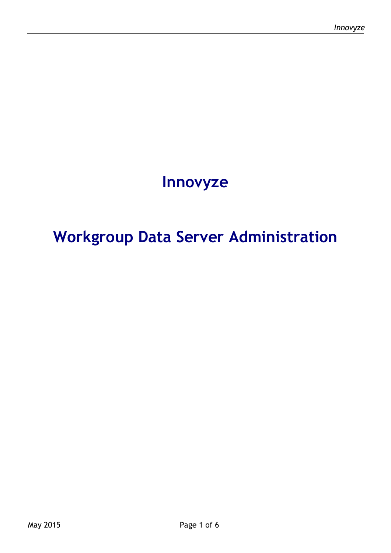# **Innovyze**

# **Workgroup Data Server Administration**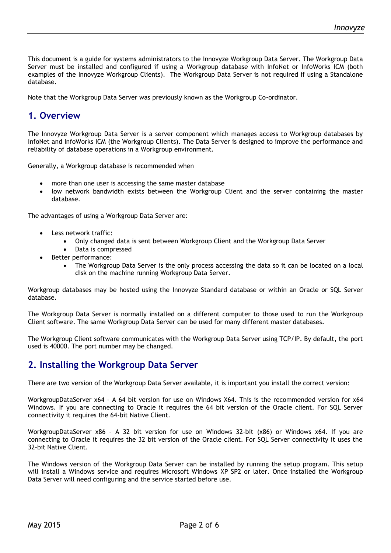This document is a guide for systems administrators to the Innovyze Workgroup Data Server. The Workgroup Data Server must be installed and configured if using a Workgroup database with InfoNet or InfoWorks ICM (both examples of the Innovyze Workgroup Clients). The Workgroup Data Server is not required if using a Standalone database.

Note that the Workgroup Data Server was previously known as the Workgroup Co-ordinator.

#### **1. Overview**

The Innovyze Workgroup Data Server is a server component which manages access to Workgroup databases by InfoNet and InfoWorks ICM (the Workgroup Clients). The Data Server is designed to improve the performance and reliability of database operations in a Workgroup environment.

Generally, a Workgroup database is recommended when

- more than one user is accessing the same master database
- low network bandwidth exists between the Workgroup Client and the server containing the master database.

The advantages of using a Workgroup Data Server are:

- Less network traffic:
	- Only changed data is sent between Workgroup Client and the Workgroup Data Server
	- Data is compressed
- Better performance:
	- The Workgroup Data Server is the only process accessing the data so it can be located on a local disk on the machine running Workgroup Data Server.

Workgroup databases may be hosted using the Innovyze Standard database or within an Oracle or SQL Server database.

The Workgroup Data Server is normally installed on a different computer to those used to run the Workgroup Client software. The same Workgroup Data Server can be used for many different master databases.

The Workgroup Client software communicates with the Workgroup Data Server using TCP/IP. By default, the port used is 40000. The port number may be changed.

#### **2. Installing the Workgroup Data Server**

There are two version of the Workgroup Data Server available, it is important you install the correct version:

WorkgroupDataServer x64 – A 64 bit version for use on Windows X64. This is the recommended version for x64 Windows. If you are connecting to Oracle it requires the 64 bit version of the Oracle client. For SQL Server connectivity it requires the 64-bit Native Client.

WorkgroupDataServer x86 – A 32 bit version for use on Windows 32-bit (x86) or Windows x64. If you are connecting to Oracle it requires the 32 bit version of the Oracle client. For SQL Server connectivity it uses the 32-bit Native Client.

The Windows version of the Workgroup Data Server can be installed by running the setup program. This setup will install a Windows service and requires Microsoft Windows XP SP2 or later. Once installed the Workgroup Data Server will need configuring and the service started before use.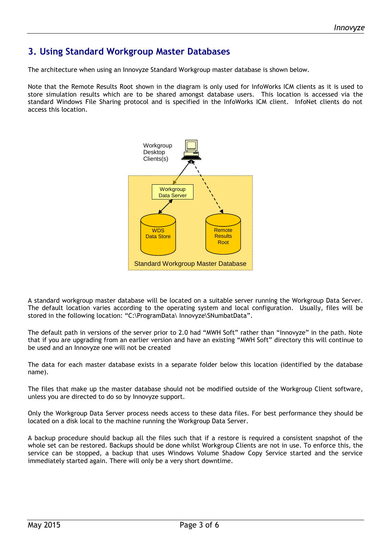# **3. Using Standard Workgroup Master Databases**

The architecture when using an Innovyze Standard Workgroup master database is shown below.

Note that the Remote Results Root shown in the diagram is only used for InfoWorks ICM clients as it is used to store simulation results which are to be shared amongst database users. This location is accessed via the standard Windows File Sharing protocol and is specified in the InfoWorks ICM client. InfoNet clients do not access this location.



A standard workgroup master database will be located on a suitable server running the Workgroup Data Server. The default location varies according to the operating system and local configuration. Usually, files will be stored in the following location: "C:\ProgramData\ Innovyze\SNumbatData".

The default path in versions of the server prior to 2.0 had "MWH Soft" rather than "Innovyze" in the path. Note that if you are upgrading from an earlier version and have an existing "MWH Soft" directory this will continue to be used and an Innovyze one will not be created

The data for each master database exists in a separate folder below this location (identified by the database name).

The files that make up the master database should not be modified outside of the Workgroup Client software, unless you are directed to do so by Innovyze support.

Only the Workgroup Data Server process needs access to these data files. For best performance they should be located on a disk local to the machine running the Workgroup Data Server.

A backup procedure should backup all the files such that if a restore is required a consistent snapshot of the whole set can be restored. Backups should be done whilst Workgroup Clients are not in use. To enforce this, the service can be stopped, a backup that uses Windows Volume Shadow Copy Service started and the service immediately started again. There will only be a very short downtime.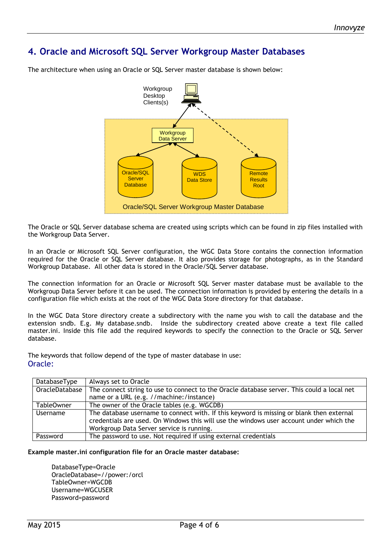# **4. Oracle and Microsoft SQL Server Workgroup Master Databases**



The architecture when using an Oracle or SQL Server master database is shown below:

The Oracle or SQL Server database schema are created using scripts which can be found in zip files installed with the Workgroup Data Server.

In an Oracle or Microsoft SQL Server configuration, the WGC Data Store contains the connection information required for the Oracle or SQL Server database. It also provides storage for photographs, as in the Standard Workgroup Database. All other data is stored in the Oracle/SQL Server database.

The connection information for an Oracle or Microsoft SQL Server master database must be available to the Workgroup Data Server before it can be used. The connection information is provided by entering the details in a configuration file which exists at the root of the WGC Data Store directory for that database.

In the WGC Data Store directory create a subdirectory with the name you wish to call the database and the extension sndb. E.g. My database.sndb. Inside the subdirectory created above create a text file called master.ini. Inside this file add the required keywords to specify the connection to the Oracle or SQL Server database.

The keywords that follow depend of the type of master database in use: Oracle:

| DatabaseType   | Always set to Oracle                                                                                                                                                                                                             |  |  |
|----------------|----------------------------------------------------------------------------------------------------------------------------------------------------------------------------------------------------------------------------------|--|--|
| OracleDatabase | The connect string to use to connect to the Oracle database server. This could a local net                                                                                                                                       |  |  |
|                | name or a URL (e.g. //machine:/instance)                                                                                                                                                                                         |  |  |
| Table0wner     | The owner of the Oracle tables (e.g. WGCDB)                                                                                                                                                                                      |  |  |
| Username       | The database username to connect with. If this keyword is missing or blank then external<br>credentials are used. On Windows this will use the windows user account under which the<br>Workgroup Data Server service is running. |  |  |
| Password       | The password to use. Not required if using external credentials                                                                                                                                                                  |  |  |

**Example master.ini configuration file for an Oracle master database:**

DatabaseType=Oracle OracleDatabase=//power:/orcl TableOwner=WGCDB Username=WGCUSER Password=password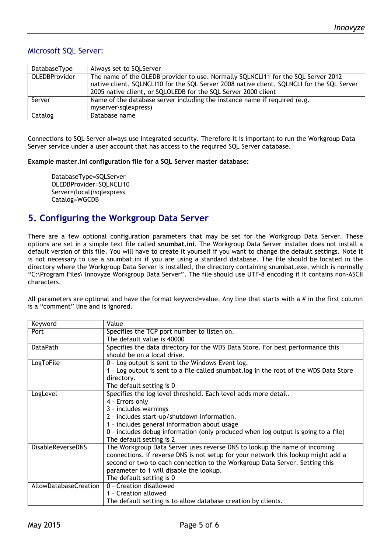#### Microsoft SQL Server:

| DatabaseType         | Always set to SQLServer                                                                                                                                                                                                                           |  |
|----------------------|---------------------------------------------------------------------------------------------------------------------------------------------------------------------------------------------------------------------------------------------------|--|
| <b>OLEDBProvider</b> | The name of the OLEDB provider to use. Normally SQLNCLI11 for the SQL Server 2012<br>native client, SQLNCLI10 for the SQL Server 2008 native client, SQLNCLI for the SQL Server<br>2005 native client, or SQLOLEDB for the SQL Server 2000 client |  |
| Server               | Name of the database server including the instance name if required (e.g.<br>myserver\sqlexpress)                                                                                                                                                 |  |
| Catalog              | Database name                                                                                                                                                                                                                                     |  |

Connections to SQL Server always use integrated security. Therefore it is important to run the Workgroup Data Server service under a user account that has access to the required SQL Server database.

**Example master.ini configuration file for a SQL Server master database:**

DatabaseType=SQLServer OLEDBProvider=SQLNCLI10 Server=(local)\sqlexpress Catalog=WGCDB

### **5. Configuring the Workgroup Data Server**

There are a few optional configuration parameters that may be set for the Workgroup Data Server. These options are set in a simple text file called **snumbat.ini**. The Workgroup Data Server installer does not install a default version of this file. You will have to create it yourself if you want to change the default settings. Note it is not necessary to use a snumbat.ini if you are using a standard database. The file should be located in the directory where the Workgroup Data Server is installed, the directory containing snumbat.exe, which is normally "C:\Program Files\ Innovyze Workgroup Data Server". The file should use UTF-8 encoding if it contains non-ASCII characters.

All parameters are optional and have the format keyword=value. Any line that starts with a  $\#$  in the first column is a "comment" line and is ignored.

| Keyword                  | Value                                                                                  |  |
|--------------------------|----------------------------------------------------------------------------------------|--|
| Port                     | Specifies the TCP port number to listen on.                                            |  |
|                          | The default value is 40000                                                             |  |
| <b>DataPath</b>          | Specifies the data directory for the WDS Data Store. For best performance this         |  |
|                          | should be on a local drive.                                                            |  |
| LogToFile                | 0 - Log output is sent to the Windows Event log.                                       |  |
|                          | 1 - Log output is sent to a file called snumbat. log in the root of the WDS Data Store |  |
|                          | directory.                                                                             |  |
|                          | The default setting is 0                                                               |  |
| LogLevel                 | Specifies the log level threshold. Each level adds more detail.                        |  |
|                          | 4 - Errors only                                                                        |  |
|                          | 3 - includes warnings                                                                  |  |
|                          | 2 - includes start-up/shutdown information.                                            |  |
|                          | 1 - includes general information about usage                                           |  |
|                          | 0 - includes debug information (only produced when log output is going to a file)      |  |
|                          | The default setting is 2                                                               |  |
| <b>DisableReverseDNS</b> | The Workgroup Data Server uses reverse DNS to lookup the name of incoming              |  |
|                          | connections. If reverse DNS is not setup for your network this lookup might add a      |  |
|                          | second or two to each connection to the Workgroup Data Server. Setting this            |  |
|                          | parameter to 1 will disable the lookup.                                                |  |
|                          | The default setting is 0                                                               |  |
| AllowDatabaseCreation    | 0 - Creation disallowed                                                                |  |
|                          | 1 - Creation allowed                                                                   |  |
|                          | The default setting is to allow database creation by clients.                          |  |